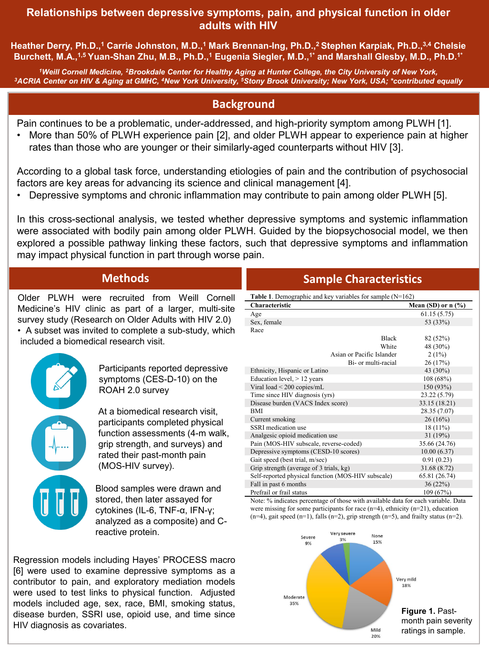#### **Relationships between depressive symptoms, pain, and physical function in older adults with HIV**

**Heather Derry, Ph.D.,1 Carrie Johnston, M.D.,1 Mark Brennan-Ing, Ph.D.,2 Stephen Karpiak, Ph.D.,3,4 Chelsie Burchett, M.A.,1,5 Yuan-Shan Zhu, M.B., Ph.D.,1 Eugenia Siegler, M.D.,1\* and Marshall Glesby, M.D., Ph.D.1\***

<sup>1</sup>Weill Cornell Medicine, <sup>2</sup>Brookdale Center for Healthy Aging at Hunter College, the City University of New York,<br>ACRIA Center on HIV & Aging at GMHC, <sup>4</sup>New York University, 5Stony Brook University; New York, USA; \*con

## **Background**

Pain continues to be a problematic, under-addressed, and high-priority symptom among PLWH [1].

• More than 50% of PLWH experience pain [2], and older PLWH appear to experience pain at higher rates than those who are younger or their similarly-aged counterparts without HIV [3].

According to a global task force, understanding etiologies of pain and the contribution of psychosocial factors are key areas for advancing its science and clinical management [4].

• Depressive symptoms and chronic inflammation may contribute to pain among older PLWH [5].

In this cross-sectional analysis, we tested whether depressive symptoms and systemic inflammation were associated with bodily pain among older PLWH. Guided by the biopsychosocial model, we then explored a possible pathway linking these factors, such that depressive symptoms and inflammation may impact physical function in part through worse pain.

Older PLWH were recruited from Weill Cornell Medicine's HIV clinic as part of a larger, multi-site survey study (Research on Older Adults with HIV 2.0)

• A subset was invited to complete a sub-study, which included a biomedical research visit.

> Participants reported depressive symptoms (CES-D-10) on the ROAH 2.0 survey

At a biomedical research visit, participants completed physical function assessments (4-m walk, grip strength, and surveys) and rated their past-month pain (MOS-HIV survey).

Blood samples were drawn and stored, then later assayed for cytokines (IL-6, TNF-α, IFN-γ; analyzed as a composite) and Creactive protein.

Regression models including Hayes' PROCESS macro [6] were used to examine depressive symptoms as a contributor to pain, and exploratory mediation models were used to test links to physical function. Adjusted models included age, sex, race, BMI, smoking status, disease burden, SSRI use, opioid use, and time since HIV diagnosis as covariates.

# **Methods Sample Characteristics**

| Table 1. Demographic and key variables for sample $(N=162)$ |                      |  |  |  |  |  |  |
|-------------------------------------------------------------|----------------------|--|--|--|--|--|--|
| Characteristic                                              | Mean (SD) or $n$ (%) |  |  |  |  |  |  |
| Age                                                         | 61.15(5.75)          |  |  |  |  |  |  |
| Sex, female                                                 | 53 (33%)             |  |  |  |  |  |  |
| Race                                                        |                      |  |  |  |  |  |  |
| <b>Black</b>                                                | 82 (52%)             |  |  |  |  |  |  |
| White                                                       | 48 (30%)             |  |  |  |  |  |  |
| Asian or Pacific Islander                                   | $2(1\%)$             |  |  |  |  |  |  |
| Bi- or multi-racial                                         | 26(17%)              |  |  |  |  |  |  |
| Ethnicity, Hispanic or Latino                               | 43 (30%)             |  |  |  |  |  |  |
| Education level, $> 12$ years                               | 108 (68%)            |  |  |  |  |  |  |
| Viral load $\leq$ 200 copies/mL                             | 150 (93%)            |  |  |  |  |  |  |
| Time since HIV diagnosis (yrs)                              | 23.22 (5.79)         |  |  |  |  |  |  |
| Disease burden (VACS Index score)                           | 33.15 (18.21)        |  |  |  |  |  |  |
| <b>BMI</b>                                                  | 28.35 (7.07)         |  |  |  |  |  |  |
| Current smoking                                             | 26(16%)              |  |  |  |  |  |  |
| SSRI medication use                                         | 18 (11%)             |  |  |  |  |  |  |
| Analgesic opioid medication use                             | 31 (19%)             |  |  |  |  |  |  |
| Pain (MOS-HIV subscale, reverse-coded)                      | 35.66 (24.76)        |  |  |  |  |  |  |
| Depressive symptoms (CESD-10 scores)                        | 10.00(6.37)          |  |  |  |  |  |  |
| Gait speed (best trial, m/sec)                              | 0.91(0.23)           |  |  |  |  |  |  |
| Grip strength (average of 3 trials, kg)                     | 31.68 (8.72)         |  |  |  |  |  |  |
| Self-reported physical function (MOS-HIV subscale)          | 65.81 (26.74)        |  |  |  |  |  |  |
| Fall in past 6 months                                       | 36(22%)              |  |  |  |  |  |  |
| Prefrail or frail status                                    | 109 (67%)            |  |  |  |  |  |  |

Note: % indicates percentage of those with available data for each variable. Data were missing for some participants for race  $(n=4)$ , ethnicity  $(n=21)$ , education  $(n=4)$ , gait speed  $(n=1)$ , falls  $(n=2)$ , grip strength  $(n=5)$ , and frailty status  $(n=2)$ .